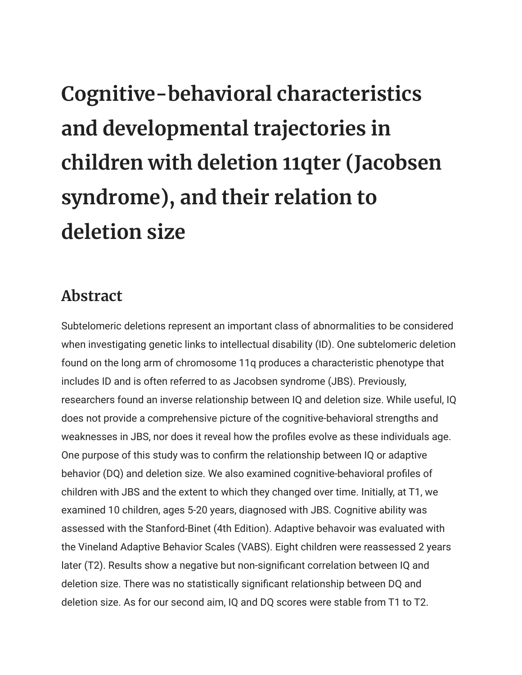## **Cognitive-behavioral characteristics and developmental trajectories in children with deletion 11qter (Jacobsen syndrome), and their relation to deletion size**

## **Abstract**

Subtelomeric deletions represent an important class of abnormalities to be considered when investigating genetic links to intellectual disability (ID). One subtelomeric deletion found on the long arm of chromosome 11q produces a characteristic phenotype that includes ID and is often referred to as Jacobsen syndrome (JBS). Previously, researchers found an inverse relationship between IQ and deletion size. While useful, IQ does not provide a comprehensive picture of the cognitive-behavioral strengths and weaknesses in JBS, nor does it reveal how the profiles evolve as these individuals age. One purpose of this study was to confirm the relationship between IQ or adaptive behavior (DQ) and deletion size. We also examined cognitive-behavioral profiles of children with JBS and the extent to which they changed over time. Initially, at T1, we examined 10 children, ages 5-20 years, diagnosed with JBS. Cognitive ability was assessed with the Stanford-Binet (4th Edition). Adaptive behavoir was evaluated with the Vineland Adaptive Behavior Scales (VABS). Eight children were reassessed 2 years later (T2). Results show a negative but non-significant correlation between IQ and deletion size. There was no statistically significant relationship between DQ and deletion size. As for our second aim, IQ and DQ scores were stable from T1 to T2.